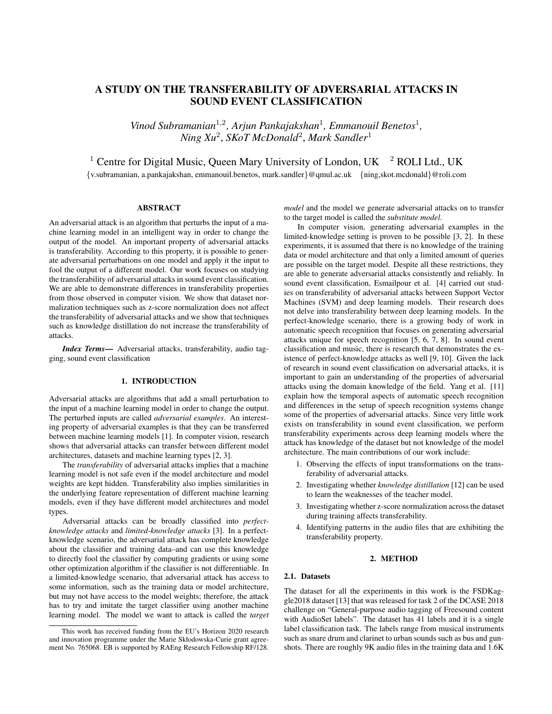# A STUDY ON THE TRANSFERABILITY OF ADVERSARIAL ATTACKS IN SOUND EVENT CLASSIFICATION

Vinod Subramanian<sup>1,2</sup>, Arjun Pankajakshan<sup>1</sup>, Emmanouil Benetos<sup>1</sup>, *Ning Xu*<sup>2</sup> , *SKoT McDonald*<sup>2</sup> , *Mark Sandler*<sup>1</sup>

<sup>1</sup> Centre for Digital Music, Queen Mary University of London, UK  $^2$  ROLI Ltd., UK

{v.subramanian, a.pankajakshan, emmanouil.benetos, mark.sandler}@qmul.ac.uk {ning,skot.mcdonald}@roli.com

## ABSTRACT

An adversarial attack is an algorithm that perturbs the input of a machine learning model in an intelligent way in order to change the output of the model. An important property of adversarial attacks is transferability. According to this property, it is possible to generate adversarial perturbations on one model and apply it the input to fool the output of a different model. Our work focuses on studying the transferability of adversarial attacks in sound event classification. We are able to demonstrate differences in transferability properties from those observed in computer vision. We show that dataset normalization techniques such as z-score normalization does not affect the transferability of adversarial attacks and we show that techniques such as knowledge distillation do not increase the transferability of attacks.

*Index Terms*— Adversarial attacks, transferability, audio tagging, sound event classification

## 1. INTRODUCTION

Adversarial attacks are algorithms that add a small perturbation to the input of a machine learning model in order to change the output. The perturbed inputs are called *adversarial examples*. An interesting property of adversarial examples is that they can be transferred between machine learning models [1]. In computer vision, research shows that adversarial attacks can transfer between different model architectures, datasets and machine learning types [2, 3].

The *transferability* of adversarial attacks implies that a machine learning model is not safe even if the model architecture and model weights are kept hidden. Transferability also implies similarities in the underlying feature representation of different machine learning models, even if they have different model architectures and model types.

Adversarial attacks can be broadly classified into *perfectknowledge attacks* and *limited-knowledge attacks* [3]. In a perfectknowledge scenario, the adversarial attack has complete knowledge about the classifier and training data–and can use this knowledge to directly fool the classifier by computing gradients or using some other optimization algorithm if the classifier is not differentiable. In a limited-knowledge scenario, that adversarial attack has access to some information, such as the training data or model architecture, but may not have access to the model weights; therefore, the attack has to try and imitate the target classifier using another machine learning model. The model we want to attack is called the *target* *model* and the model we generate adversarial attacks on to transfer to the target model is called the *substitute model*.

In computer vision, generating adversarial examples in the limited-knowledge setting is proven to be possible [3, 2]. In these experiments, it is assumed that there is no knowledge of the training data or model architecture and that only a limited amount of queries are possible on the target model. Despite all these restrictions, they are able to generate adversarial attacks consistently and reliably. In sound event classification, Esmailpour et al. [4] carried out studies on transferability of adversarial attacks between Support Vector Machines (SVM) and deep learning models. Their research does not delve into transferability between deep learning models. In the perfect-knowledge scenario, there is a growing body of work in automatic speech recognition that focuses on generating adversarial attacks unique for speech recognition [5, 6, 7, 8]. In sound event classification and music, there is research that demonstrates the existence of perfect-knowledge attacks as well [9, 10]. Given the lack of research in sound event classification on adversarial attacks, it is important to gain an understanding of the properties of adversarial attacks using the domain knowledge of the field. Yang et al. [11] explain how the temporal aspects of automatic speech recognition and differences in the setup of speech recognition systems change some of the properties of adversarial attacks. Since very little work exists on transferability in sound event classification, we perform transferability experiments across deep learning models where the attack has knowledge of the dataset but not knowledge of the model architecture. The main contributions of our work include:

- 1. Observing the effects of input transformations on the transferability of adversarial attacks.
- 2. Investigating whether *knowledge distillation* [12] can be used to learn the weaknesses of the teacher model.
- 3. Investigating whether z-score normalization across the dataset during training affects transferability.
- 4. Identifying patterns in the audio files that are exhibiting the transferability property.

#### 2. METHOD

#### 2.1. Datasets

The dataset for all the experiments in this work is the FSDKaggle2018 dataset [13] that was released for task 2 of the DCASE 2018 challenge on "General-purpose audio tagging of Freesound content with AudioSet labels". The dataset has 41 labels and it is a single label classification task. The labels range from musical instruments such as snare drum and clarinet to urban sounds such as bus and gunshots. There are roughly 9K audio files in the training data and 1.6K

This work has received funding from the EU's Horizon 2020 research and innovation programme under the Marie Skłodowska-Curie grant agreement No. 765068. EB is supported by RAEng Research Fellowship RF/128.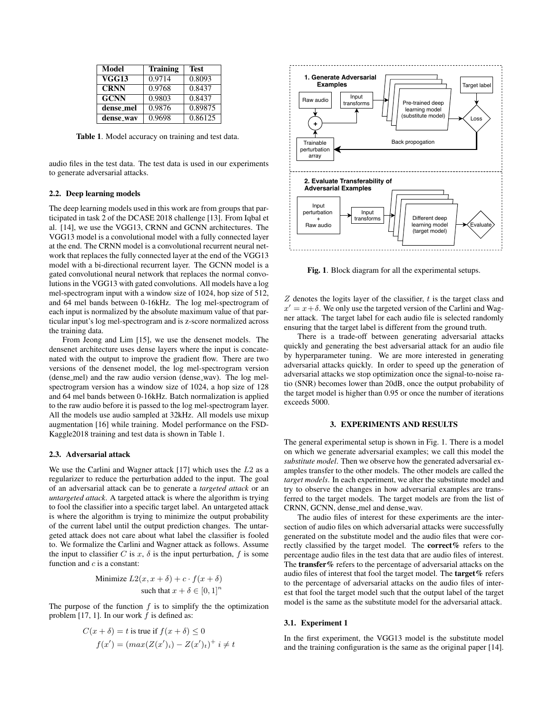| <b>Model</b> | <b>Training</b> | <b>Test</b> |
|--------------|-----------------|-------------|
| <b>VGG13</b> | 0.9714          | 0.8093      |
| <b>CRNN</b>  | 0.9768          | 0.8437      |
| <b>GCNN</b>  | 0.9803          | 0.8437      |
| dense_mel    | 0.9876          | 0.89875     |
| dense_way    | 0.9698          | 0.86125     |

Table 1. Model accuracy on training and test data.

audio files in the test data. The test data is used in our experiments to generate adversarial attacks.

#### 2.2. Deep learning models

The deep learning models used in this work are from groups that participated in task 2 of the DCASE 2018 challenge [13]. From Iqbal et al. [14], we use the VGG13, CRNN and GCNN architectures. The VGG13 model is a convolutional model with a fully connected layer at the end. The CRNN model is a convolutional recurrent neural network that replaces the fully connected layer at the end of the VGG13 model with a bi-directional recurrent layer. The GCNN model is a gated convolutional neural network that replaces the normal convolutions in the VGG13 with gated convolutions. All models have a log mel-spectrogram input with a window size of 1024, hop size of 512, and 64 mel bands between 0-16kHz. The log mel-spectrogram of each input is normalized by the absolute maximum value of that particular input's log mel-spectrogram and is z-score normalized across the training data.

From Jeong and Lim [15], we use the densenet models. The densenet architecture uses dense layers where the input is concatenated with the output to improve the gradient flow. There are two versions of the densenet model, the log mel-spectrogram version (dense mel) and the raw audio version (dense wav). The log melspectrogram version has a window size of 1024, a hop size of 128 and 64 mel bands between 0-16kHz. Batch normalization is applied to the raw audio before it is passed to the log mel-spectrogram layer. All the models use audio sampled at 32kHz. All models use mixup augmentation [16] while training. Model performance on the FSD-Kaggle2018 training and test data is shown in Table 1.

#### 2.3. Adversarial attack

We use the Carlini and Wagner attack  $[17]$  which uses the  $L2$  as a regularizer to reduce the perturbation added to the input. The goal of an adversarial attack can be to generate a *targeted attack* or an *untargeted attack*. A targeted attack is where the algorithm is trying to fool the classifier into a specific target label. An untargeted attack is where the algorithm is trying to minimize the output probability of the current label until the output prediction changes. The untargeted attack does not care about what label the classifier is fooled to. We formalize the Carlini and Wagner attack as follows. Assume the input to classifier C is x,  $\delta$  is the input perturbation, f is some function and  $c$  is a constant:

Minimize 
$$
L2(x, x + \delta) + c \cdot f(x + \delta)
$$
  
such that  $x + \delta \in [0, 1]^n$ 

The purpose of the function  $f$  is to simplify the the optimization problem [17, 1]. In our work  $f$  is defined as:

$$
C(x + \delta) = t \text{ is true if } f(x + \delta) \le 0
$$
  

$$
f(x') = (\max(Z(x')) - Z(x')t)^{+} i \ne t
$$



Fig. 1. Block diagram for all the experimental setups.

 $Z$  denotes the logits layer of the classifier,  $t$  is the target class and  $x' = x + \delta$ . We only use the targeted version of the Carlini and Wagner attack. The target label for each audio file is selected randomly ensuring that the target label is different from the ground truth.

There is a trade-off between generating adversarial attacks quickly and generating the best adversarial attack for an audio file by hyperparameter tuning. We are more interested in generating adversarial attacks quickly. In order to speed up the generation of adversarial attacks we stop optimization once the signal-to-noise ratio (SNR) becomes lower than 20dB, once the output probability of the target model is higher than 0.95 or once the number of iterations exceeds 5000.

### 3. EXPERIMENTS AND RESULTS

The general experimental setup is shown in Fig. 1. There is a model on which we generate adversarial examples; we call this model the *substitute model*. Then we observe how the generated adversarial examples transfer to the other models. The other models are called the *target models*. In each experiment, we alter the substitute model and try to observe the changes in how adversarial examples are transferred to the target models. The target models are from the list of CRNN, GCNN, dense\_mel and dense\_wav.

The audio files of interest for these experiments are the intersection of audio files on which adversarial attacks were successfully generated on the substitute model and the audio files that were correctly classified by the target model. The correct% refers to the percentage audio files in the test data that are audio files of interest. The transfer% refers to the percentage of adversarial attacks on the audio files of interest that fool the target model. The **target**  $%$  refers to the percentage of adversarial attacks on the audio files of interest that fool the target model such that the output label of the target model is the same as the substitute model for the adversarial attack.

### 3.1. Experiment 1

In the first experiment, the VGG13 model is the substitute model and the training configuration is the same as the original paper [14].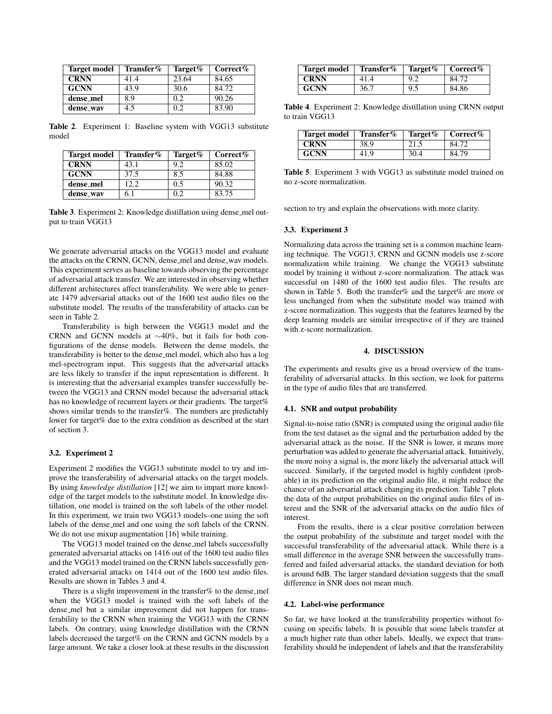| <b>Target model</b> | Transfer% | Target% | Correct $%$ |
|---------------------|-----------|---------|-------------|
| <b>CRNN</b>         | 41.4      | 23.64   | 84.65       |
| <b>GCNN</b>         | 43.9      | 30.6    | 84.72       |
| dense_mel           | 8.9       | 0.2     | 90.26       |
| dense_way           | 4.5       | 0.2     | 83.90       |

Table 2. Experiment 1: Baseline system with VGG13 substitute model

| <b>Target model</b> | Transfer% | Target% | Correct $%$ |
|---------------------|-----------|---------|-------------|
| <b>CRNN</b>         | 43.1      | 9.2     | 85.02       |
| <b>GCNN</b>         | 37.5      | 8.5     | 84.88       |
| dense_mel           | 12.2.     | 0.5     | 90.32       |
| dense_way           | 6.1       | 0.2     | 83.75       |

Table 3. Experiment 2: Knowledge distillation using dense\_mel output to train VGG13

We generate adversarial attacks on the VGG13 model and evaluate the attacks on the CRNN, GCNN, dense\_mel and dense\_wav models. This experiment serves as baseline towards observing the percentage of adversarial attack transfer. We are interested in observing whether different architectures affect transferability. We were able to generate 1479 adversarial attacks out of the 1600 test audio files on the substitute model. The results of the transferability of attacks can be seen in Table 2.

Transferability is high between the VGG13 model and the CRNN and GCNN models at ∼40%, but it fails for both configurations of the dense models. Between the dense models, the transferability is better to the dense mel model, which also has a log mel-spectrogram input. This suggests that the adversarial attacks are less likely to transfer if the input representation is different. It is interesting that the adversarial examples transfer successfully between the VGG13 and CRNN model because the adversarial attack has no knowledge of recurrent layers or their gradients. The target% shows similar trends to the transfer%. The numbers are predictably lower for target% due to the extra condition as described at the start of section 3.

## 3.2. Experiment 2

Experiment 2 modifies the VGG13 substitute model to try and improve the transferability of adversarial attacks on the target models. By using *knowledge distillation* [12] we aim to impart more knowledge of the target models to the substitute model. In knowledge distillation, one model is trained on the soft labels of the other model. In this experiment, we train two VGG13 models–one using the soft labels of the dense mel and one using the soft labels of the CRNN. We do not use mixup augmentation [16] while training.

The VGG13 model trained on the dense\_mel labels successfully generated adversarial attacks on 1416 out of the 1600 test audio files and the VGG13 model trained on the CRNN labels successfully generated adversarial attacks on 1414 out of the 1600 test audio files. Results are shown in Tables 3 and 4.

There is a slight improvement in the transfer% to the dense mel when the VGG13 model is trained with the soft labels of the dense mel but a similar improvement did not happen for transferability to the CRNN when training the VGG13 with the CRNN labels. On contrary, using knowledge distillation with the CRNN labels decreased the target% on the CRNN and GCNN models by a large amount. We take a closer look at these results in the discussion

| Target model | Transfer $\%$ | Target% | Correct% |  |
|--------------|---------------|---------|----------|--|
| <b>CRNN</b>  | 41.4          | 9.2     | 84.72    |  |
| <b>GCNN</b>  | 36.7          | 9.5     | 84.86    |  |

Table 4. Experiment 2: Knowledge distillation using CRNN output to train VGG13

| <b>Target model</b> | Transfer $%$ | Target% | $\bf Correct\%$ |
|---------------------|--------------|---------|-----------------|
| <b>CRNN</b>         | 38.9         | 21.5    | 84.72           |
| <b>GCNN</b>         | 41.9         | 30.4    | 84.79           |

Table 5. Experiment 3 with VGG13 as substitute model trained on no z-score normalization.

section to try and explain the observations with more clarity.

#### 3.3. Experiment 3

Normalizing data across the training set is a common machine learning technique. The VGG13, CRNN and GCNN models use z-score normalization while training. We change the VGG13 substitute model by training it without z-score normalization. The attack was successful on 1480 of the 1600 test audio files. The results are shown in Table 5. Both the transfer% and the target% are more or less unchanged from when the substitute model was trained with z-score normalization. This suggests that the features learned by the deep learning models are similar irrespective of if they are trained with z-score normalization.

#### 4. DISCUSSION

The experiments and results give us a broad overview of the transferability of adversarial attacks. In this section, we look for patterns in the type of audio files that are transferred.

#### 4.1. SNR and output probability

Signal-to-noise ratio (SNR) is computed using the original audio file from the test dataset as the signal and the perturbation added by the adversarial attack as the noise. If the SNR is lower, it means more perturbation was added to generate the adversarial attack. Intuitively, the more noisy a signal is, the more likely the adversarial attack will succeed. Similarly, if the targeted model is highly confident (probable) in its prediction on the original audio file, it might reduce the chance of an adversarial attack changing its prediction. Table 7 plots the data of the output probabilities on the original audio files of interest and the SNR of the adversarial attacks on the audio files of interest.

From the results, there is a clear positive correlation between the output probability of the substitute and target model with the successful transferability of the adversarial attack. While there is a small difference in the average SNR between the successfully transferred and failed adversarial attacks, the standard deviation for both is around 6dB. The larger standard deviation suggests that the small difference in SNR does not mean much.

#### 4.2. Label-wise performance

So far, we have looked at the transferability properties without focusing on specific labels. It is possible that some labels transfer at a much higher rate than other labels. Ideally, we expect that transferability should be independent of labels and that the transferability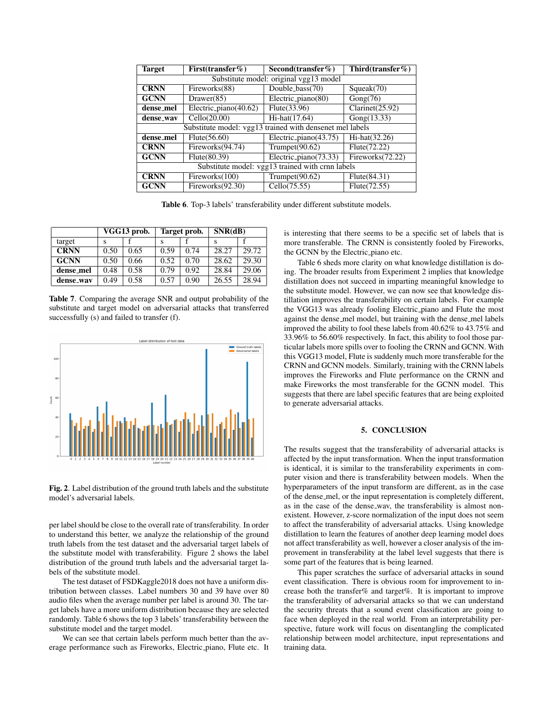| <b>Target</b>                                    | First(transfer $%$ )                                     | Second(transfer $\%$ )                                   | Third(transfer $%$ ) |  |  |
|--------------------------------------------------|----------------------------------------------------------|----------------------------------------------------------|----------------------|--|--|
| Substitute model: original vgg13 model           |                                                          |                                                          |                      |  |  |
| <b>CRNN</b>                                      | Double_bass(70)<br>Fireworks(88)                         |                                                          | Squeak(70)           |  |  |
| <b>GCNN</b>                                      | Drawer(85)                                               | Electric_piano(80)                                       | Gong(76)             |  |  |
| dense_mel                                        | Electric_piano(40.62)                                    | Flute(33.96)                                             | Clarinet(25.92)      |  |  |
| dense_way                                        | Cello(20.00)                                             | Hi-hat(17.64)                                            | Gong(13.33)          |  |  |
|                                                  |                                                          | Substitute model: vgg13 trained with densenet mel labels |                      |  |  |
| dense_mel                                        | Electric_piano(43.75)<br>Flute(56.60)<br>$Hi-hat(32.26)$ |                                                          |                      |  |  |
| <b>CRNN</b>                                      | Fireworks(94.74)<br>Trumpet $(90.62)$                    |                                                          | Flute(72.22)         |  |  |
| <b>GCNN</b>                                      | Flute(80.39)                                             | Electric_piano(73.33)                                    | Fireworks(72.22)     |  |  |
| Substitute model: vgg13 trained with crnn labels |                                                          |                                                          |                      |  |  |
| <b>CRNN</b>                                      | Fireworks(100)                                           | Trumpet $(90.62)$                                        | Flute(84.31)         |  |  |
| <b>GCNN</b>                                      | Fireworks(92.30)                                         | Cello(75.55)                                             | Flute(72.55)         |  |  |

Table 6. Top-3 labels' transferability under different substitute models.

|             | VGG13 prob. |      | Target prob. |      | SNR(dB) |       |
|-------------|-------------|------|--------------|------|---------|-------|
| target      |             |      |              |      | s       |       |
| <b>CRNN</b> | 0.50        | 0.65 | 0.59         | 0.74 | 28.27   | 29.72 |
| <b>GCNN</b> | 0.50        | 0.66 | 0.52         | 0.70 | 28.62   | 29.30 |
| dense_mel   | 0.48        | 0.58 | 0.79         | 0.92 | 28.84   | 29.06 |
| dense_way   | 0.49        | 0.58 | 0.57         | 0.90 | 26.55   | 28.94 |

Table 7. Comparing the average SNR and output probability of the substitute and target model on adversarial attacks that transferred successfully (s) and failed to transfer (f).



Fig. 2. Label distribution of the ground truth labels and the substitute model's adversarial labels.

per label should be close to the overall rate of transferability. In order to understand this better, we analyze the relationship of the ground truth labels from the test dataset and the adversarial target labels of the substitute model with transferability. Figure 2 shows the label distribution of the ground truth labels and the adversarial target labels of the substitute model.

The test dataset of FSDKaggle2018 does not have a uniform distribution between classes. Label numbers 30 and 39 have over 80 audio files when the average number per label is around 30. The target labels have a more uniform distribution because they are selected randomly. Table 6 shows the top 3 labels' transferability between the substitute model and the target model.

We can see that certain labels perform much better than the average performance such as Fireworks, Electric piano, Flute etc. It is interesting that there seems to be a specific set of labels that is more transferable. The CRNN is consistently fooled by Fireworks, the GCNN by the Electric piano etc.

Table 6 sheds more clarity on what knowledge distillation is doing. The broader results from Experiment 2 implies that knowledge distillation does not succeed in imparting meaningful knowledge to the substitute model. However, we can now see that knowledge distillation improves the transferability on certain labels. For example the VGG13 was already fooling Electric piano and Flute the most against the dense mel model, but training with the dense mel labels improved the ability to fool these labels from 40.62% to 43.75% and 33.96% to 56.60% respectively. In fact, this ability to fool those particular labels more spills over to fooling the CRNN and GCNN. With this VGG13 model, Flute is suddenly much more transferable for the CRNN and GCNN models. Similarly, training with the CRNN labels improves the Fireworks and Flute performance on the CRNN and make Fireworks the most transferable for the GCNN model. This suggests that there are label specific features that are being exploited to generate adversarial attacks.

## 5. CONCLUSION

The results suggest that the transferability of adversarial attacks is affected by the input transformation. When the input transformation is identical, it is similar to the transferability experiments in computer vision and there is transferability between models. When the hyperparameters of the input transform are different, as in the case of the dense mel, or the input representation is completely different, as in the case of the dense wav, the transferability is almost nonexistent. However, z-score normalization of the input does not seem to affect the transferability of adversarial attacks. Using knowledge distillation to learn the features of another deep learning model does not affect transferability as well, however a closer analysis of the improvement in transferability at the label level suggests that there is some part of the features that is being learned.

This paper scratches the surface of adversarial attacks in sound event classification. There is obvious room for improvement to increase both the transfer% and target%. It is important to improve the transferability of adversarial attacks so that we can understand the security threats that a sound event classification are going to face when deployed in the real world. From an interpretability perspective, future work will focus on disentangling the complicated relationship between model architecture, input representations and training data.